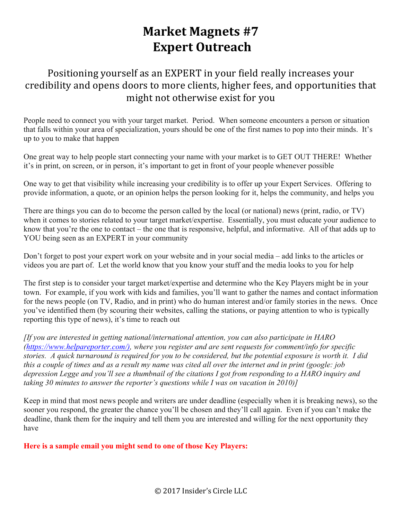## **Market Magnets #7 Expert Outreach**

## Positioning yourself as an EXPERT in your field really increases your credibility and opens doors to more clients, higher fees, and opportunities that might not otherwise exist for you

People need to connect you with your target market. Period. When someone encounters a person or situation that falls within your area of specialization, yours should be one of the first names to pop into their minds. It's up to you to make that happen

One great way to help people start connecting your name with your market is to GET OUT THERE! Whether it's in print, on screen, or in person, it's important to get in front of your people whenever possible

One way to get that visibility while increasing your credibility is to offer up your Expert Services. Offering to provide information, a quote, or an opinion helps the person looking for it, helps the community, and helps you

There are things you can do to become the person called by the local (or national) news (print, radio, or TV) when it comes to stories related to your target market/expertise. Essentially, you must educate your audience to know that you're the one to contact – the one that is responsive, helpful, and informative. All of that adds up to YOU being seen as an EXPERT in your community

Don't forget to post your expert work on your website and in your social media – add links to the articles or videos you are part of. Let the world know that you know your stuff and the media looks to you for help

The first step is to consider your target market/expertise and determine who the Key Players might be in your town. For example, if you work with kids and families, you'll want to gather the names and contact information for the news people (on TV, Radio, and in print) who do human interest and/or family stories in the news. Once you've identified them (by scouring their websites, calling the stations, or paying attention to who is typically reporting this type of news), it's time to reach out

*[If you are interested in getting national/international attention, you can also participate in HARO (https://www.helpareporter.com/), where you register and are sent requests for comment/info for specific stories. A quick turnaround is required for you to be considered, but the potential exposure is worth it. I did this a couple of times and as a result my name was cited all over the internet and in print (google: job depression Legge and you'll see a thumbnail of the citations I got from responding to a HARO inquiry and taking 30 minutes to answer the reporter's questions while I was on vacation in 2010)]*

Keep in mind that most news people and writers are under deadline (especially when it is breaking news), so the sooner you respond, the greater the chance you'll be chosen and they'll call again. Even if you can't make the deadline, thank them for the inquiry and tell them you are interested and willing for the next opportunity they have

**Here is a sample email you might send to one of those Key Players:**